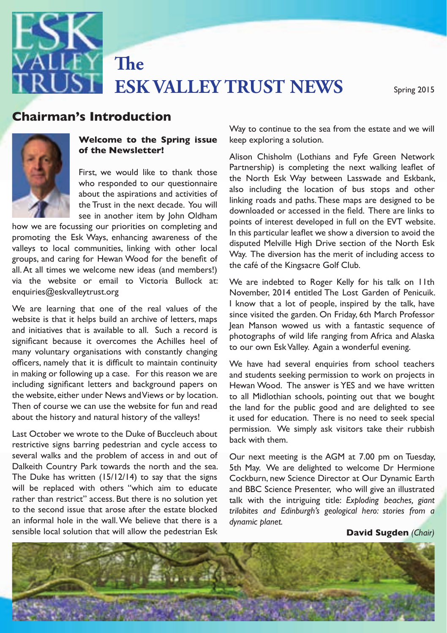**ESK VALLEY TRUST NEWS** Spring 2015

## **Chairman's Introduction**



#### **Welcome to the Spring issue of the Newsletter!**

**The** 

**Chairman's International School School School School School School School School School School School School School School School School School School School School School School School School School School School School** First, we would like to thank those who responded to our questionnaire the Trust in the next decade. You will see in another item by John Oldham

promoting the Esk Ways, enhancing awareness of the in this particular realier we show a div groups, and caring for fremall vioce for the centence of the café of the Kingsacre Golf Club.<br>all. At all times we welcome new ideas (and members!) enquiries@eskvalleytrust.org<br>. how we are focussing our priorities on completing and valleys to local communities, linking with other local groups, and caring for Hewan Wood for the benefit of via the website or email to Victoria Bullock at:

In the because to overcomes are remines heer or<br>many voluntary organisations with constantly changing ers, namely that it is difficult to maintain continuity  $\;\;\;$  We have had several enquiries from school teachers in making or following up a case. The ansie case in we are about the history and natural history of the valleys!<br>about the history and natural history of the valleys! it used for education. There is no need to seek spe We are learning that one of the real values of the website is that it helps build an archive of letters, maps and initiatives that is available to all. Such a record is significant because it overcomes the Achilles heel of officers, namely that it is difficult to maintain continuity in making or following up a case. For this reason we are the website, either under News and Views or by location. Then of course we can use the website for fun and read

East Secose: We wrote to the Bake or Baceleach about back with them.<br>restrictive signs barring pedestrian and cycle access to several walks and the problem of access in and out of to the second issue that arose after the estate blocked *trilobites and Edinburgh's geological hero: stories from a* an information of the matter website of the total distribution of the planet.<br>Sensible local solution that will allow the pedestrian Esk **David Sugden** (Chair) Last October we wrote to the Duke of Buccleuch about Dalkeith Country Park towards the north and the sea. The Duke has written (15/12/14) to say that the signs will be replaced with others "which aim to educate rather than restrict" access. But there is no solution yet to the second issue that arose after the estate blocked an informal hole in the wall. We believe that there is a

 $\mathbf{p}$  and  $\mathbf{p}$  are to continue to the sea from the estate and we will keep exploring a solution.

bow we are focussing our priorities on completing and points of interest developed in full on the EVT website. Alison Chisholm (Lothians and Fyfe Green Network Partnership) is completing the next walking leaflet of the North Esk Way between Lasswade and Eskbank, also including the location of bus stops and other linking roads and paths. These maps are designed to be downloaded or accessed in the field. There are links to In this particular leaflet we show a diversion to avoid the disputed Melville High Drive section of the North Esk Way. The diversion has the merit of including access to the café of the Kingsacre Golf Club.

website or email to Victoria Bullock at: We are indebted to Roger Kelly for his talk on IIth are rearing that one or the rear values of the since visited the garden. On Friday, 6th March Professor<br>site is that it helps build an archive of letters maps footpath at a simulation and the River of the River and the reduced access to all. Such a record is photographs of wild life ranging from Africa and Alaska November, 2014 entitled The Lost Garden of Penicuik. I know that a lot of people, inspired by the talk, have Jean Manson wowed us with a fantastic sequence of to our own Esk Valley. Again a wonderful evening.

vebsite, either under News and Views or by location.  $\;$  to all Midlothian schools, pointing out that we bought and students seeking permission to work on projects in Hewan Wood. The answer is YES and we have written the land for the public good and are delighted to see it used for education. There is no need to seek special permission. We simply ask visitors take their rubbish back with them.

> Our next meeting is the AGM at 7.00 pm on Tuesday, 5th May. We are delighted to welcome Dr Hermione Cockburn, new Science Director at Our Dynamic Earth and BBC Science Presenter, who will give an illustrated talk with the intriguing title: *Exploding beaches, giant dynamic planet.*

#### **David Sugden** *(Chair)*

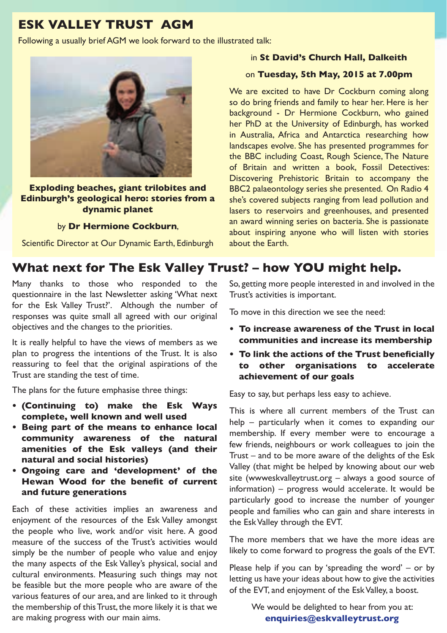## **ESK VALLEY TRUST AGM**

Following a usually brief AGM we look forward to the illustrated talk:



**Exploding beaches, giant trilobites and Edinburgh's geological hero: stories from a dynamic planet**

#### by **Dr Hermione Cockburn**,

Scientific Director at Our Dynamic Earth, Edinburgh

#### in **St David's Church Hall, Dalkeith**

#### on **Tuesday, 5th May, 2015 at 7.00pm**

We are excited to have Dr Cockburn coming along so do bring friends and family to hear her. Here is her background - Dr Hermione Cockburn, who gained her PhD at the University of Edinburgh, has worked in Australia, Africa and Antarctica researching how landscapes evolve. She has presented programmes for the BBC including Coast, Rough Science, The Nature of Britain and written a book, Fossil Detectives: Discovering Prehistoric Britain to accompany the BBC2 palaeontology series she presented. On Radio 4 she's covered subjects ranging from lead pollution and lasers to reservoirs and greenhouses, and presented an award winning series on bacteria. She is passionate about inspiring anyone who will listen with stories about the Earth.

### **What next for The Esk Valley Trust? – how YOU might help.**

Many thanks to those who responded to the questionnaire in the last Newsletter asking 'What next for the Esk Valley Trust?'. Although the number of responses was quite small all agreed with our original objectives and the changes to the priorities.

It is really helpful to have the views of members as we plan to progress the intentions of the Trust. It is also reassuring to feel that the original aspirations of the Trust are standing the test of time.

The plans for the future emphasise three things:

- **• (Continuing to) make the Esk Ways complete, well known and well used**
- **• Being part of the means to enhance local community awareness of the natural amenities of the Esk valleys (and their natural and social histories)**
- **• Ongoing care and 'development' of the Hewan Wood for the benefit of current and future generations**

Each of these activities implies an awareness and enjoyment of the resources of the Esk Valley amongst the people who live, work and/or visit here. A good measure of the success of the Trust's activities would simply be the number of people who value and enjoy the many aspects of the Esk Valley's physical, social and cultural environments. Measuring such things may not be feasible but the more people who are aware of the various features of our area, and are linked to it through the membership of this Trust, the more likely it is that we are making progress with our main aims.

So, getting more people interested in and involved in the Trust's activities is important.

To move in this direction we see the need:

- **• To increase awareness of the Trust in local communities and increase its membership**
- **• To link the actions of the Trust beneficially to other organisations to accelerate achievement of our goals**

Easy to say, but perhaps less easy to achieve.

This is where all current members of the Trust can help – particularly when it comes to expanding our membership. If every member were to encourage a few friends, neighbours or work colleagues to join the Trust – and to be more aware of the delights of the Esk Valley (that might be helped by knowing about our web site (wwweskvalleytrust.org – always a good source of information) – progress would accelerate. It would be particularly good to increase the number of younger people and families who can gain and share interests in the Esk Valley through the EVT.

The more members that we have the more ideas are likely to come forward to progress the goals of the EVT.

Please help if you can by 'spreading the word' – or by letting us have your ideas about how to give the activities of the EVT, and enjoyment of the Esk Valley, a boost.

> We would be delighted to hear from you at: **enquiries@eskvalleytrust.org**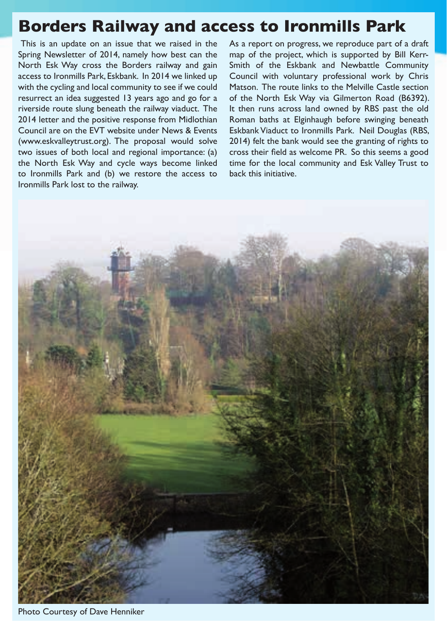# **Borders Railway and access to Ironmills Park**

 This is an update on an issue that we raised in the Spring Newsletter of 2014, namely how best can the North Esk Way cross the Borders railway and gain access to Ironmills Park, Eskbank. In 2014 we linked up with the cycling and local community to see if we could resurrect an idea suggested 13 years ago and go for a riverside route slung beneath the railway viaduct. The 2014 letter and the positive response from Midlothian Council are on the EVT website under News & Events (www.eskvalleytrust.org). The proposal would solve two issues of both local and regional importance: (a) the North Esk Way and cycle ways become linked to Ironmills Park and (b) we restore the access to Ironmills Park lost to the railway.

As a report on progress, we reproduce part of a draft map of the project, which is supported by Bill Kerr-Smith of the Eskbank and Newbattle Community Council with voluntary professional work by Chris Matson. The route links to the Melville Castle section of the North Esk Way via Gilmerton Road (B6392). It then runs across land owned by RBS past the old Roman baths at Elginhaugh before swinging beneath Eskbank Viaduct to Ironmills Park. Neil Douglas (RBS, 2014) felt the bank would see the granting of rights to cross their field as welcome PR. So this seems a good time for the local community and Esk Valley Trust to back this initiative.